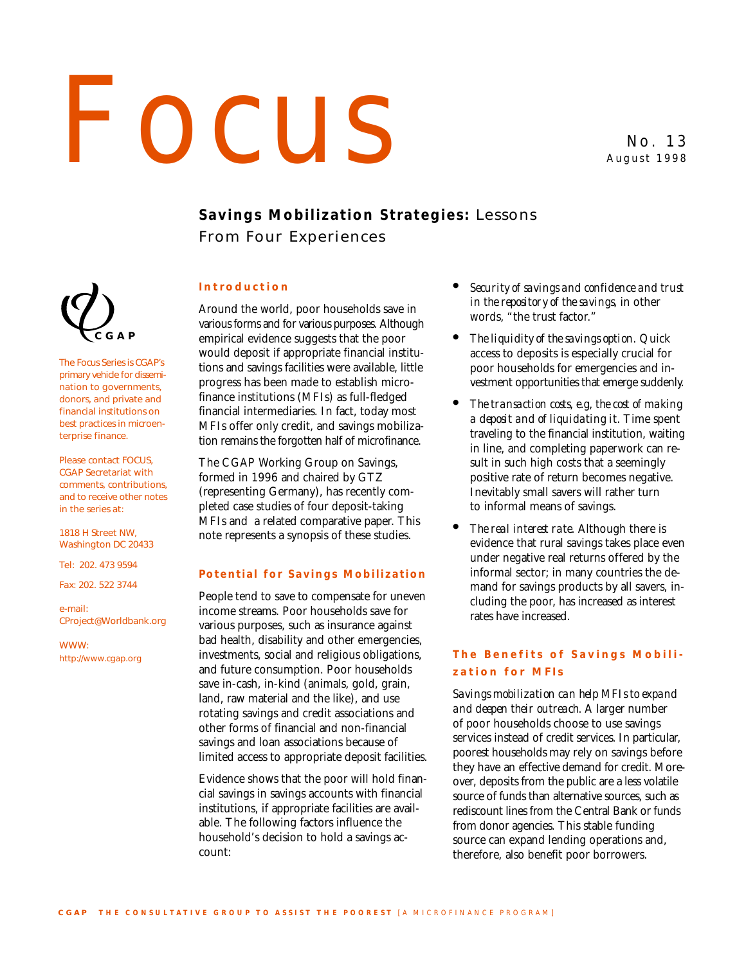# FOCUS NO. 13

August 1998

# **Savings Mobilization Strategies:** Lessons From Four Experiences

### **Introduction**

Around the world, poor households save in various forms and for various purposes. Although empirical evidence suggests that the poor would deposit if appropriate financial institutions and savings facilities were available, little progress has been made to establish microfinance institutions (MFIs) as full-fledged financial intermediaries. In fact, today most MFIs offer only credit, and savings mobilization remains the forgotten half of microfinance.

The CGAP Working Group on Savings, formed in 1996 and chaired by GTZ (representing Germany), has recently completed case studies of four deposit-taking MFIs and a related comparative paper. This note represents a synopsis of these studies.

### **Potential for Savings Mobilization**

People tend to save to compensate for uneven income streams. Poor households save for various purposes, such as insurance against bad health, disability and other emergencies, investments, social and religious obligations, and future consumption. Poor households save in-cash, in-kind (animals, gold, grain, land, raw material and the like), and use rotating savings and credit associations and other forms of financial and non-financial savings and loan associations because of limited access to appropriate deposit facilities.

Evidence shows that the poor will hold financial savings in savings accounts with financial institutions, if appropriate facilities are available. The following factors influence the household's decision to hold a savings account:

- *Security of savings and confidence and trust in the repository of the savings*, in other words, "the trust factor."
- *The liquidity of the savings option*. Quick access to deposits is especially crucial for poor households for emergencies and investment opportunities that emerge suddenly.
- *The transaction costs, e.g, the cost of making a deposit and of liquidating it*. Time spent traveling to the financial institution, waiting in line, and completing paperwork can result in such high costs that a seemingly positive rate of return becomes negative. Inevitably small savers will rather turn to informal means of savings.
- *The real interest rate*. Although there is evidence that rural savings takes place even under negative real returns offered by the informal sector; in many countries the demand for savings products by all savers, including the poor, has increased as interest rates have increased.

### **The Benefits of Savings Mobilization for MFIs**

*Savings mobilization can help MFIs to expand and deepen their outreach.* A larger number of poor households choose to use savings services instead of credit services. In particular, poorest households may rely on savings before they have an effective demand for credit. Moreover, deposits from the public are a less volatile source of funds than alternative sources, such as rediscount lines from the Central Bank or funds from donor agencies. This stable funding source can expand lending operations and, therefore, also benefit poor borrowers.



The Focus Series is CGAP's primary vehicle for dissemination to governments, donors, and private and financial institutions on best practices in microenterprise finance.

Please contact FOCUS, CGAP Secretariat with comments, contributions, and to receive other notes in the series at:

1818 H Street NW, Washington DC 20433

Tel: 202. 473 9594

Fax: 202. 522 3744

e-mail: CProject@Worldbank.org

WWW: http://www.cgap.org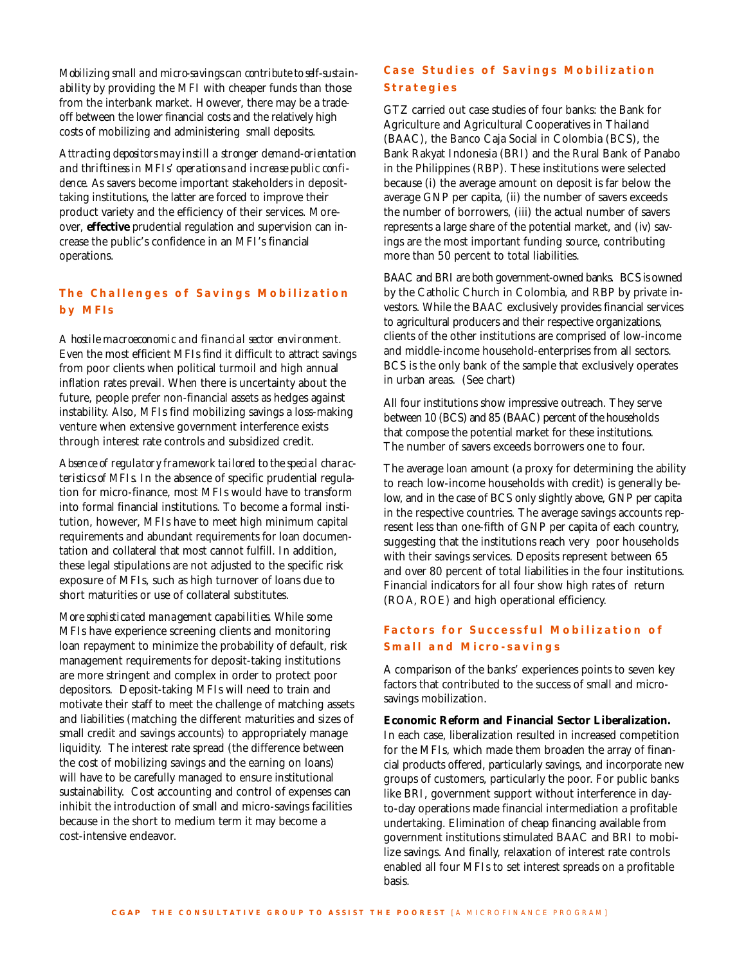*Mobilizing small and micro-savings can contribute to self-sustainability* by providing the MFI with cheaper funds than those from the interbank market. However, there may be a tradeoff between the lower financial costs and the relatively high costs of mobilizing and administering small deposits.

*Attracting depositors may instill a stronger demand-orientation and thriftiness in MFIs' operations and increase public confidence.* As savers become important stakeholders in deposittaking institutions, the latter are forced to improve their product variety and the efficiency of their services. Moreover, **effective** prudential regulation and supervision can increase the public's confidence in an MFI's financial operations.

### **The Challenges of Savings Mobilization by MFIs**

*A hostile macroeconomic and financial sector environment.* Even the most efficient MFIs find it difficult to attract savings from poor clients when political turmoil and high annual inflation rates prevail. When there is uncertainty about the future, people prefer non-financial assets as hedges against instability. Also, MFIs find mobilizing savings a loss-making venture when extensive government interference exists through interest rate controls and subsidized credit.

*Absence of regulatory framework tailored to the special characteristics of MFIs.* In the absence of specific prudential regulation for micro-finance, most MFIs would have to transform into formal financial institutions. To become a formal institution, however, MFIs have to meet high minimum capital requirements and abundant requirements for loan documentation and collateral that most cannot fulfill. In addition, these legal stipulations are not adjusted to the specific risk exposure of MFIs, such as high turnover of loans due to short maturities or use of collateral substitutes.

*More sophisticated management capabilities.* While some MFIs have experience screening clients and monitoring loan repayment to minimize the probability of default, risk management requirements for deposit-taking institutions are more stringent and complex in order to protect poor depositors. Deposit-taking MFIs will need to train and motivate their staff to meet the challenge of matching assets and liabilities (matching the different maturities and sizes of small credit and savings accounts) to appropriately manage liquidity. The interest rate spread (the difference between the cost of mobilizing savings and the earning on loans) will have to be carefully managed to ensure institutional sustainability. Cost accounting and control of expenses can inhibit the introduction of small and micro-savings facilities because in the short to medium term it may become a cost-intensive endeavor.

## **Case Studies of Savings Mobilization Strategies**

GTZ carried out case studies of four banks: the Bank for Agriculture and Agricultural Cooperatives in Thailand (BAAC), the Banco Caja Social in Colombia (BCS), the Bank Rakyat Indonesia (BRI) and the Rural Bank of Panabo in the Philippines (RBP). These institutions were selected because (i) the average amount on deposit is far below the average GNP per capita, (ii) the number of savers exceeds the number of borrowers, (iii) the actual number of savers represents a large share of the potential market, and (iv) savings are the most important funding source, contributing more than 50 percent to total liabilities.

BAAC and BRI are both government-owned banks. BCS is owned by the Catholic Church in Colombia, and RBP by private investors. While the BAAC exclusively provides financial services to agricultural producers and their respective organizations, clients of the other institutions are comprised of low-income and middle-income household-enterprises from all sectors. BCS is the only bank of the sample that exclusively operates in urban areas. (See chart)

All four institutions show impressive outreach. They serve between 10 (BCS) and 85 (BAAC) percent of the households that compose the potential market for these institutions. The number of savers exceeds borrowers one to four.

The average loan amount (a proxy for determining the ability to reach low-income households with credit) is generally below, and in the case of BCS only slightly above, GNP per capita in the respective countries. The average savings accounts represent less than one-fifth of GNP per capita of each country, suggesting that the institutions reach very poor households with their savings services. Deposits represent between 65 and over 80 percent of total liabilities in the four institutions. Financial indicators for all four show high rates of return (ROA, ROE) and high operational efficiency.

## **Factors for Successful Mobilization of Small and Micro-savings**

A comparison of the banks' experiences points to seven key factors that contributed to the success of small and microsavings mobilization.

**Economic Reform and Financial Sector Liberalization.** In each case, liberalization resulted in increased competition for the MFIs, which made them broaden the array of financial products offered, particularly savings, and incorporate new groups of customers, particularly the poor. For public banks like BRI, government support without interference in dayto-day operations made financial intermediation a profitable undertaking. Elimination of cheap financing available from government institutions stimulated BAAC and BRI to mobilize savings. And finally, relaxation of interest rate controls enabled all four MFIs to set interest spreads on a profitable basis.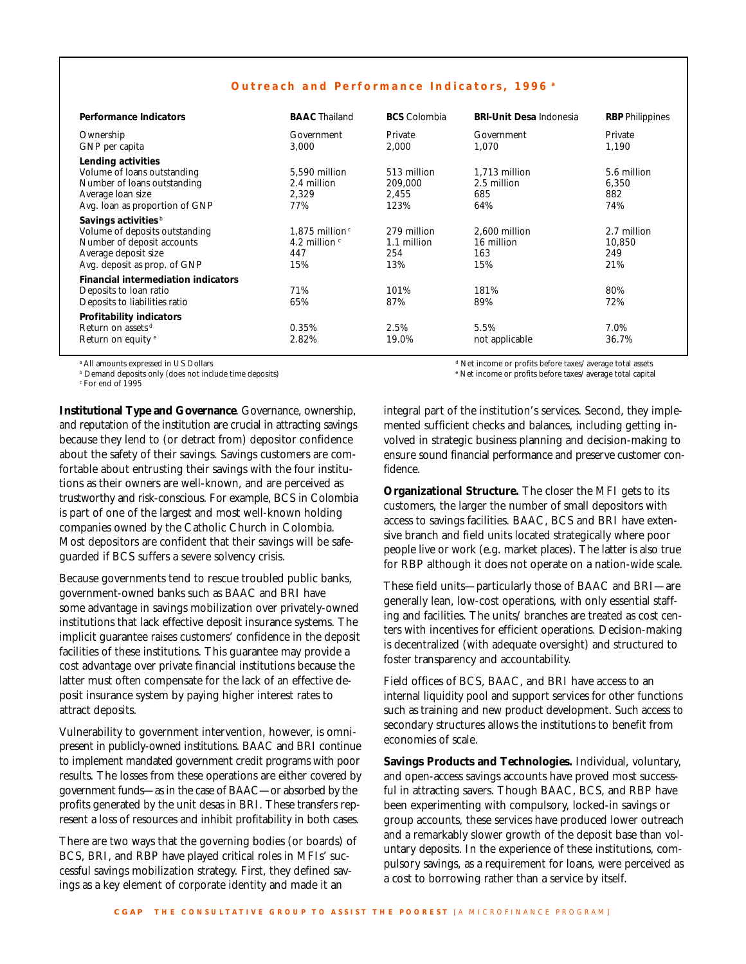|  | Outreach and Performance Indicators, 1996 <sup>a</sup> |  |  |
|--|--------------------------------------------------------|--|--|
|--|--------------------------------------------------------|--|--|

| <b>Performance Indicators</b>                                                                                                                                                            | <b>BAAC</b> Thailand                                                 | <b>BCS</b> Colombia                      | <b>BRI-Unit Desa Indonesia</b>             | <b>RBP</b> Philippines              |
|------------------------------------------------------------------------------------------------------------------------------------------------------------------------------------------|----------------------------------------------------------------------|------------------------------------------|--------------------------------------------|-------------------------------------|
| Ownership<br>GNP per capita                                                                                                                                                              | Government<br>3,000                                                  | Private<br>2,000                         | Government<br>1,070                        | Private<br>1,190                    |
| Lending activities<br>Volume of loans outstanding<br>Number of loans outstanding<br>Average loan size<br>Avg. loan as proportion of GNP                                                  | 5,590 million<br>2.4 million<br>2,329<br>77%                         | 513 million<br>209.000<br>2,455<br>123%  | 1,713 million<br>2.5 million<br>685<br>64% | 5.6 million<br>6,350<br>882<br>74%  |
| Savings activities <sup>b</sup><br>Volume of deposits outstanding<br>Number of deposit accounts<br>Average deposit size<br>Avg. deposit as prop. of GNP                                  | $1.875$ million <sup>c</sup><br>4.2 million $\epsilon$<br>447<br>15% | 279 million<br>1.1 million<br>254<br>13% | 2,600 million<br>16 million<br>163<br>15%  | 2.7 million<br>10,850<br>249<br>21% |
| <b>Financial intermediation indicators</b><br>Deposits to loan ratio<br>Deposits to liabilities ratio<br>Profitability indicators<br>Return on assets d<br>Return on equity <sup>e</sup> | 71%<br>65%<br>0.35%<br>2.82%                                         | 101%<br>87%<br>2.5%<br>19.0%             | 181%<br>89%<br>5.5%<br>not applicable      | 80%<br>72%<br>7.0%<br>36.7%         |

a All amounts expressed in US Dollars

b Demand deposits only (does not include time deposits)

c For end of 1995

**Institutional Type and Governance**. Governance, ownership, and reputation of the institution are crucial in attracting savings because they lend to (or detract from) depositor confidence about the safety of their savings. Savings customers are comfortable about entrusting their savings with the four institutions as their owners are well-known, and are perceived as trustworthy and risk-conscious. For example, BCS in Colombia is part of one of the largest and most well-known holding companies owned by the Catholic Church in Colombia. Most depositors are confident that their savings will be safeguarded if BCS suffers a severe solvency crisis.

Because governments tend to rescue troubled public banks, government-owned banks such as BAAC and BRI have some advantage in savings mobilization over privately-owned institutions that lack effective deposit insurance systems. The implicit guarantee raises customers' confidence in the deposit facilities of these institutions. This guarantee may provide a cost advantage over private financial institutions because the latter must often compensate for the lack of an effective deposit insurance system by paying higher interest rates to attract deposits.

Vulnerability to government intervention, however, is omnipresent in publicly-owned institutions. BAAC and BRI continue to implement mandated government credit programs with poor results. The losses from these operations are either covered by government funds—as in the case of BAAC—or absorbed by the profits generated by the unit desas in BRI. These transfers represent a loss of resources and inhibit profitability in both cases.

There are two ways that the governing bodies (or boards) of BCS, BRI, and RBP have played critical roles in MFIs' successful savings mobilization strategy. First, they defined savings as a key element of corporate identity and made it an

d Net income or profits before taxes/average total assets

e Net income or profits before taxes/average total capital

integral part of the institution's services. Second, they implemented sufficient checks and balances, including getting involved in strategic business planning and decision-making to ensure sound financial performance and preserve customer confidence.

**Organizational Structure.** The closer the MFI gets to its customers, the larger the number of small depositors with access to savings facilities. BAAC, BCS and BRI have extensive branch and field units located strategically where poor people live or work (e.g. market places). The latter is also true for RBP although it does not operate on a nation-wide scale.

These field units—particularly those of BAAC and BRI—are generally lean, low-cost operations, with only essential staffing and facilities. The units/branches are treated as cost centers with incentives for efficient operations. Decision-making is decentralized (with adequate oversight) and structured to foster transparency and accountability.

Field offices of BCS, BAAC, and BRI have access to an internal liquidity pool and support services for other functions such as training and new product development. Such access to secondary structures allows the institutions to benefit from economies of scale.

**Savings Products and Technologies.** Individual, voluntary, and open-access savings accounts have proved most successful in attracting savers. Though BAAC, BCS, and RBP have been experimenting with compulsory, locked-in savings or group accounts, these services have produced lower outreach and a remarkably slower growth of the deposit base than voluntary deposits. In the experience of these institutions, compulsory savings, as a requirement for loans, were perceived as a cost to borrowing rather than a service by itself.